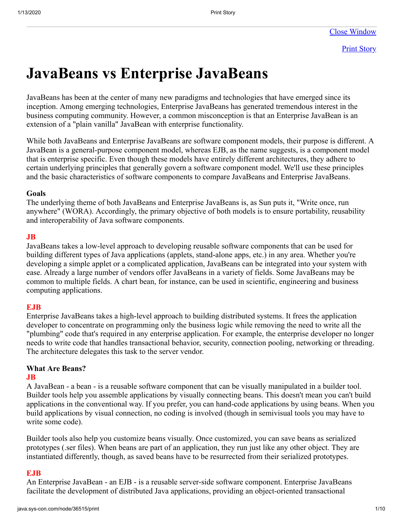Print Story

# **JavaBeans vs Enterprise JavaBeans**

JavaBeans has been at the center of many new paradigms and technologies that have emerged since its inception. Among emerging technologies, Enterprise JavaBeans has generated tremendous interest in the business computing community. However, a common misconception is that an Enterprise JavaBean is an extension of a "plain vanilla" JavaBean with enterprise functionality.

While both JavaBeans and Enterprise JavaBeans are software component models, their purpose is different. A JavaBean is a general-purpose component model, whereas EJB, as the name suggests, is a component model that is enterprise specific. Even though these models have entirely different architectures, they adhere to certain underlying principles that generally govern a software component model. We'll use these principles and the basic characteristics of software components to compare JavaBeans and Enterprise JavaBeans.

#### **Goals**

The underlying theme of both JavaBeans and Enterprise JavaBeans is, as Sun puts it, "Write once, run anywhere" (WORA). Accordingly, the primary objective of both models is to ensure portability, reusability and interoperability of Java software components.

#### **JB**

JavaBeans takes a low-level approach to developing reusable software components that can be used for building different types of Java applications (applets, stand-alone apps, etc.) in any area. Whether you're developing a simple applet or a complicated application, JavaBeans can be integrated into your system with ease. Already a large number of vendors offer JavaBeans in a variety of fields. Some JavaBeans may be common to multiple fields. A chart bean, for instance, can be used in scientific, engineering and business computing applications.

#### **EJB**

Enterprise JavaBeans takes a high-level approach to building distributed systems. It frees the application developer to concentrate on programming only the business logic while removing the need to write all the "plumbing" code that's required in any enterprise application. For example, the enterprise developer no longer needs to write code that handles transactional behavior, security, connection pooling, networking or threading. The architecture delegates this task to the server vendor.

# **What Are Beans?**

#### **JB**

A JavaBean - a bean - is a reusable software component that can be visually manipulated in a builder tool. Builder tools help you assemble applications by visually connecting beans. This doesn't mean you can't build applications in the conventional way. If you prefer, you can hand-code applications by using beans. When you build applications by visual connection, no coding is involved (though in semivisual tools you may have to write some code).

Builder tools also help you customize beans visually. Once customized, you can save beans as serialized prototypes (.ser files). When beans are part of an application, they run just like any other object. They are instantiated differently, though, as saved beans have to be resurrected from their serialized prototypes.

#### **EJB**

An Enterprise JavaBean - an EJB - is a reusable server-side software component. Enterprise JavaBeans facilitate the development of distributed Java applications, providing an object-oriented transactional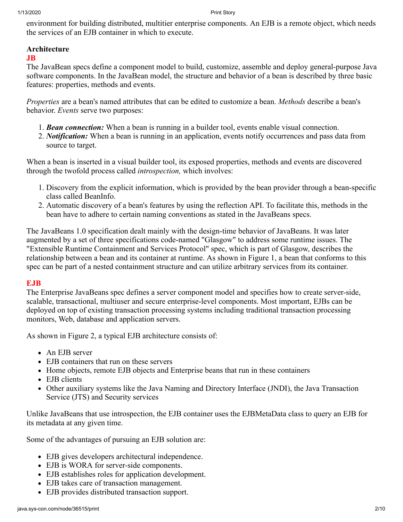environment for building distributed, multitier enterprise components. An EJB is a remote object, which needs the services of an EJB container in which to execute.

# **Architecture**

#### **JB**

The JavaBean specs define a component model to build, customize, assemble and deploy general-purpose Java software components. In the JavaBean model, the structure and behavior of a bean is described by three basic features: properties, methods and events.

*Properties* are a bean's named attributes that can be edited to customize a bean. *Methods* describe a bean's behavior. *Events* serve two purposes:

- 1. *Bean connection:* When a bean is running in a builder tool, events enable visual connection.
- 2. *Notification:* When a bean is running in an application, events notify occurrences and pass data from source to target.

When a bean is inserted in a visual builder tool, its exposed properties, methods and events are discovered through the twofold process called *introspection,* which involves:

- 1. Discovery from the explicit information, which is provided by the bean provider through a bean-specific class called BeanInfo.
- 2. Automatic discovery of a bean's features by using the reflection API. To facilitate this, methods in the bean have to adhere to certain naming conventions as stated in the JavaBeans specs.

The JavaBeans 1.0 specification dealt mainly with the design-time behavior of JavaBeans. It was later augmented by a set of three specifications code-named "Glasgow" to address some runtime issues. The "Extensible Runtime Containment and Services Protocol" spec, which is part of Glasgow, describes the relationship between a bean and its container at runtime. As shown in Figure 1, a bean that conforms to this spec can be part of a nested containment structure and can utilize arbitrary services from its container.

# **EJB**

The Enterprise JavaBeans spec defines a server component model and specifies how to create server-side, scalable, transactional, multiuser and secure enterprise-level components. Most important, EJBs can be deployed on top of existing transaction processing systems including traditional transaction processing monitors, Web, database and application servers.

As shown in Figure 2, a typical EJB architecture consists of:

- An EJB server
- EJB containers that run on these servers
- Home objects, remote EJB objects and Enterprise beans that run in these containers
- EJB clients
- Other auxiliary systems like the Java Naming and Directory Interface (JNDI), the Java Transaction Service (JTS) and Security services

Unlike JavaBeans that use introspection, the EJB container uses the EJBMetaData class to query an EJB for its metadata at any given time.

Some of the advantages of pursuing an EJB solution are:

- EJB gives developers architectural independence.
- EJB is WORA for server-side components.
- EJB establishes roles for application development.
- EJB takes care of transaction management.
- EJB provides distributed transaction support.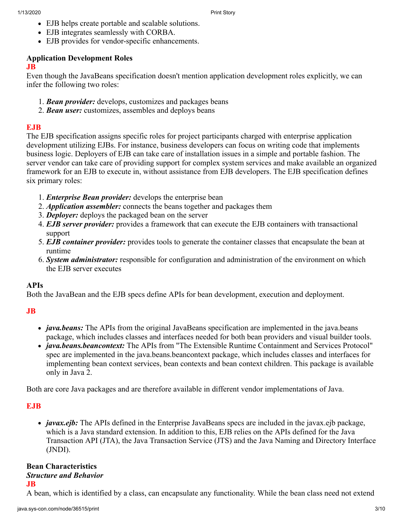- EJB helps create portable and scalable solutions.
- EJB integrates seamlessly with CORBA.
- EJB provides for vendor-specific enhancements.

# **Application Development Roles**

#### **JB**

Even though the JavaBeans specification doesn't mention application development roles explicitly, we can infer the following two roles:

- 1. *Bean provider:* develops, customizes and packages beans
- 2. *Bean user:* customizes, assembles and deploys beans

# **EJB**

The EJB specification assigns specific roles for project participants charged with enterprise application development utilizing EJBs. For instance, business developers can focus on writing code that implements business logic. Deployers of EJB can take care of installation issues in a simple and portable fashion. The server vendor can take care of providing support for complex system services and make available an organized framework for an EJB to execute in, without assistance from EJB developers. The EJB specification defines six primary roles:

- 1. *Enterprise Bean provider:* develops the enterprise bean
- 2. *Application assembler:* connects the beans together and packages them
- 3. *Deployer:* deploys the packaged bean on the server
- 4. *EJB server provider:* provides a framework that can execute the EJB containers with transactional support
- 5. *EJB container provider:* provides tools to generate the container classes that encapsulate the bean at runtime
- 6. *System administrator:* responsible for configuration and administration of the environment on which the EJB server executes

# **APIs**

Both the JavaBean and the EJB specs define APIs for bean development, execution and deployment.

# **JB**

- *java.beans:* The APIs from the original JavaBeans specification are implemented in the java.beans package, which includes classes and interfaces needed for both bean providers and visual builder tools.
- *java.beans.beancontext:* The APIs from "The Extensible Runtime Containment and Services Protocol" spec are implemented in the java.beans.beancontext package, which includes classes and interfaces for implementing bean context services, bean contexts and bean context children. This package is available only in Java 2.

Both are core Java packages and are therefore available in different vendor implementations of Java.

# **EJB**

• *javax.ejb:* The APIs defined in the Enterprise JavaBeans specs are included in the javax.ejb package, which is a Java standard extension. In addition to this, EJB relies on the APIs defined for the Java Transaction API (JTA), the Java Transaction Service (JTS) and the Java Naming and Directory Interface (JNDI).

# **Bean Characteristics** *Structure and Behavior*

#### **JB**

A bean, which is identified by a class, can encapsulate any functionality. While the bean class need not extend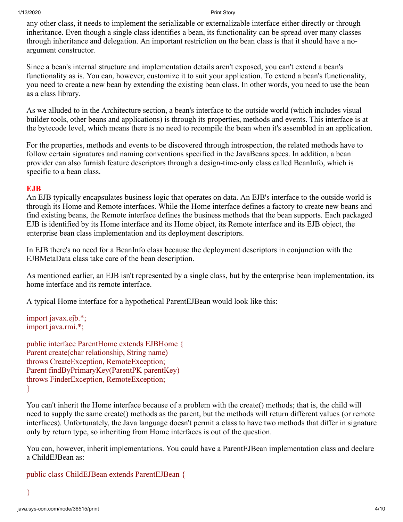any other class, it needs to implement the serializable or externalizable interface either directly or through inheritance. Even though a single class identifies a bean, its functionality can be spread over many classes through inheritance and delegation. An important restriction on the bean class is that it should have a noargument constructor.

Since a bean's internal structure and implementation details aren't exposed, you can't extend a bean's functionality as is. You can, however, customize it to suit your application. To extend a bean's functionality, you need to create a new bean by extending the existing bean class. In other words, you need to use the bean as a class library.

As we alluded to in the Architecture section, a bean's interface to the outside world (which includes visual builder tools, other beans and applications) is through its properties, methods and events. This interface is at the bytecode level, which means there is no need to recompile the bean when it's assembled in an application.

For the properties, methods and events to be discovered through introspection, the related methods have to follow certain signatures and naming conventions specified in the JavaBeans specs. In addition, a bean provider can also furnish feature descriptors through a design-time-only class called BeanInfo, which is specific to a bean class.

#### **EJB**

An EJB typically encapsulates business logic that operates on data. An EJB's interface to the outside world is through its Home and Remote interfaces. While the Home interface defines a factory to create new beans and find existing beans, the Remote interface defines the business methods that the bean supports. Each packaged EJB is identified by its Home interface and its Home object, its Remote interface and its EJB object, the enterprise bean class implementation and its deployment descriptors.

In EJB there's no need for a BeanInfo class because the deployment descriptors in conjunction with the EJBMetaData class take care of the bean description.

As mentioned earlier, an EJB isn't represented by a single class, but by the enterprise bean implementation, its home interface and its remote interface.

A typical Home interface for a hypothetical ParentEJBean would look like this:

```
import javax.ejb.*;
import java.rmi.*;
```
public interface ParentHome extends EJBHome { Parent create(char relationship, String name) throws CreateException, RemoteException; Parent findByPrimaryKey(ParentPK parentKey) throws FinderException, RemoteException; }

You can't inherit the Home interface because of a problem with the create() methods; that is, the child will need to supply the same create() methods as the parent, but the methods will return different values (or remote interfaces). Unfortunately, the Java language doesn't permit a class to have two methods that differ in signature only by return type, so inheriting from Home interfaces is out of the question.

You can, however, inherit implementations. You could have a ParentEJBean implementation class and declare a ChildEJBean as:

```
public class ChildEJBean extends ParentEJBean {
```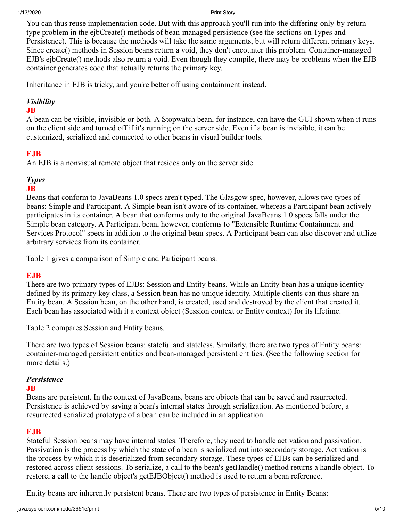You can thus reuse implementation code. But with this approach you'll run into the differing-only-by-returntype problem in the ejbCreate() methods of bean-managed persistence (see the sections on Types and Persistence). This is because the methods will take the same arguments, but will return different primary keys. Since create() methods in Session beans return a void, they don't encounter this problem. Container-managed EJB's ejbCreate() methods also return a void. Even though they compile, there may be problems when the EJB container generates code that actually returns the primary key.

Inheritance in EJB is tricky, and you're better off using containment instead.

# *Visibility*

# **JB**

A bean can be visible, invisible or both. A Stopwatch bean, for instance, can have the GUI shown when it runs on the client side and turned off if it's running on the server side. Even if a bean is invisible, it can be customized, serialized and connected to other beans in visual builder tools.

# **EJB**

An EJB is a nonvisual remote object that resides only on the server side.

# *Types*

# **JB**

Beans that conform to JavaBeans 1.0 specs aren't typed. The Glasgow spec, however, allows two types of beans: Simple and Participant. A Simple bean isn't aware of its container, whereas a Participant bean actively participates in its container. A bean that conforms only to the original JavaBeans 1.0 specs falls under the Simple bean category. A Participant bean, however, conforms to "Extensible Runtime Containment and Services Protocol" specs in addition to the original bean specs. A Participant bean can also discover and utilize arbitrary services from its container.

Table 1 gives a comparison of Simple and Participant beans.

# **EJB**

There are two primary types of EJBs: Session and Entity beans. While an Entity bean has a unique identity defined by its primary key class, a Session bean has no unique identity. Multiple clients can thus share an Entity bean. A Session bean, on the other hand, is created, used and destroyed by the client that created it. Each bean has associated with it a context object (Session context or Entity context) for its lifetime.

Table 2 compares Session and Entity beans.

There are two types of Session beans: stateful and stateless. Similarly, there are two types of Entity beans: container-managed persistent entities and bean-managed persistent entities. (See the following section for more details.)

# *Persistence*

# **JB**

Beans are persistent. In the context of JavaBeans, beans are objects that can be saved and resurrected. Persistence is achieved by saving a bean's internal states through serialization. As mentioned before, a resurrected serialized prototype of a bean can be included in an application.

# **EJB**

Stateful Session beans may have internal states. Therefore, they need to handle activation and passivation. Passivation is the process by which the state of a bean is serialized out into secondary storage. Activation is the process by which it is deserialized from secondary storage. These types of EJBs can be serialized and restored across client sessions. To serialize, a call to the bean's getHandle() method returns a handle object. To restore, a call to the handle object's getEJBObject() method is used to return a bean reference.

Entity beans are inherently persistent beans. There are two types of persistence in Entity Beans: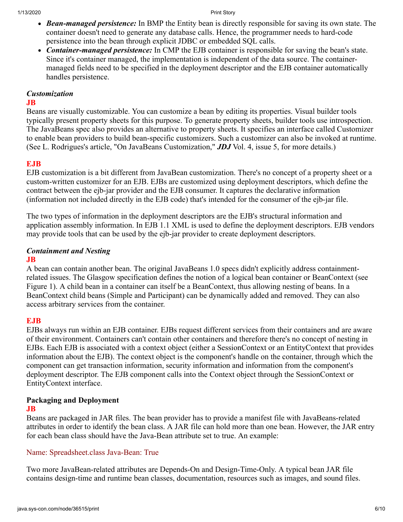- *Bean-managed persistence:* In BMP the Entity bean is directly responsible for saving its own state. The container doesn't need to generate any database calls. Hence, the programmer needs to hard-code persistence into the bean through explicit JDBC or embedded SQL calls.
- *Container-managed persistence:* In CMP the EJB container is responsible for saving the bean's state. Since it's container managed, the implementation is independent of the data source. The containermanaged fields need to be specified in the deployment descriptor and the EJB container automatically handles persistence.

#### *Customization*

#### **JB**

Beans are visually customizable. You can customize a bean by editing its properties. Visual builder tools typically present property sheets for this purpose. To generate property sheets, builder tools use introspection. The JavaBeans spec also provides an alternative to property sheets. It specifies an interface called Customizer to enable bean providers to build bean-specific customizers. Such a customizer can also be invoked at runtime. (See L. Rodrigues's article, "On JavaBeans Customization," *JDJ* Vol. 4, issue 5, for more details.)

# **EJB**

EJB customization is a bit different from JavaBean customization. There's no concept of a property sheet or a custom-written customizer for an EJB. EJBs are customized using deployment descriptors, which define the contract between the ejb-jar provider and the EJB consumer. It captures the declarative information (information not included directly in the EJB code) that's intended for the consumer of the ejb-jar file.

The two types of information in the deployment descriptors are the EJB's structural information and application assembly information. In EJB 1.1 XML is used to define the deployment descriptors. EJB vendors may provide tools that can be used by the ejb-jar provider to create deployment descriptors.

# *Containment and Nesting*

# **JB**

A bean can contain another bean. The original JavaBeans 1.0 specs didn't explicitly address containmentrelated issues. The Glasgow specification defines the notion of a logical bean container or BeanContext (see Figure 1). A child bean in a container can itself be a BeanContext, thus allowing nesting of beans. In a BeanContext child beans (Simple and Participant) can be dynamically added and removed. They can also access arbitrary services from the container.

# **EJB**

EJBs always run within an EJB container. EJBs request different services from their containers and are aware of their environment. Containers can't contain other containers and therefore there's no concept of nesting in EJBs. Each EJB is associated with a context object (either a SessionContext or an EntityContext that provides information about the EJB). The context object is the component's handle on the container, through which the component can get transaction information, security information and information from the component's deployment descriptor. The EJB component calls into the Context object through the SessionContext or EntityContext interface.

# **Packaging and Deployment**

# **JB**

Beans are packaged in JAR files. The bean provider has to provide a manifest file with JavaBeans-related attributes in order to identify the bean class. A JAR file can hold more than one bean. However, the JAR entry for each bean class should have the Java-Bean attribute set to true. An example:

# Name: Spreadsheet.class Java-Bean: True

Two more JavaBean-related attributes are Depends-On and Design-Time-Only. A typical bean JAR file contains design-time and runtime bean classes, documentation, resources such as images, and sound files.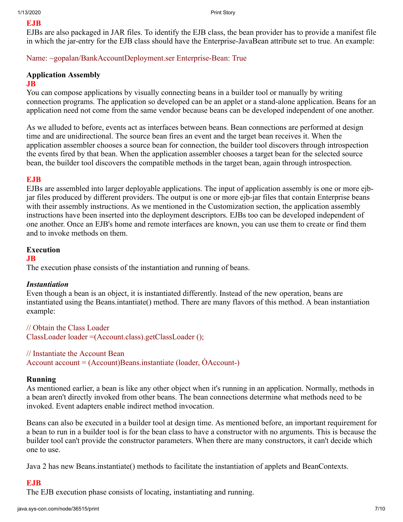#### **EJB**

EJBs are also packaged in JAR files. To identify the EJB class, the bean provider has to provide a manifest file in which the jar-entry for the EJB class should have the Enterprise-JavaBean attribute set to true. An example:

Name: ~gopalan/BankAccountDeployment.ser Enterprise-Bean: True

# **Application Assembly**

#### **JB**

You can compose applications by visually connecting beans in a builder tool or manually by writing connection programs. The application so developed can be an applet or a stand-alone application. Beans for an application need not come from the same vendor because beans can be developed independent of one another.

As we alluded to before, events act as interfaces between beans. Bean connections are performed at design time and are unidirectional. The source bean fires an event and the target bean receives it. When the application assembler chooses a source bean for connection, the builder tool discovers through introspection the events fired by that bean. When the application assembler chooses a target bean for the selected source bean, the builder tool discovers the compatible methods in the target bean, again through introspection.

# **EJB**

EJBs are assembled into larger deployable applications. The input of application assembly is one or more ejbjar files produced by different providers. The output is one or more ejb-jar files that contain Enterprise beans with their assembly instructions. As we mentioned in the Customization section, the application assembly instructions have been inserted into the deployment descriptors. EJBs too can be developed independent of one another. Once an EJB's home and remote interfaces are known, you can use them to create or find them and to invoke methods on them.

# **Execution**

#### **JB**

The execution phase consists of the instantiation and running of beans.

# *Instantiation*

Even though a bean is an object, it is instantiated differently. Instead of the new operation, beans are instantiated using the Beans.intantiate() method. There are many flavors of this method. A bean instantiation example:

// Obtain the Class Loader ClassLoader loader =(Account.class).getClassLoader ();

#### // Instantiate the Account Bean

Account account = (Account)Beans.instantiate (loader, ÒAccount-)

#### **Running**

As mentioned earlier, a bean is like any other object when it's running in an application. Normally, methods in a bean aren't directly invoked from other beans. The bean connections determine what methods need to be invoked. Event adapters enable indirect method invocation.

Beans can also be executed in a builder tool at design time. As mentioned before, an important requirement for a bean to run in a builder tool is for the bean class to have a constructor with no arguments. This is because the builder tool can't provide the constructor parameters. When there are many constructors, it can't decide which one to use.

Java 2 has new Beans.instantiate() methods to facilitate the instantiation of applets and BeanContexts.

# **EJB**

The EJB execution phase consists of locating, instantiating and running.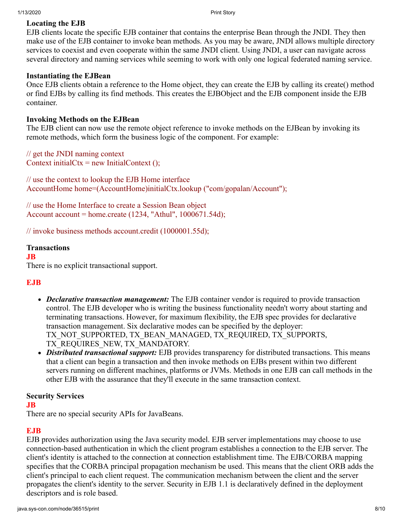# **Locating the EJB**

EJB clients locate the specific EJB container that contains the enterprise Bean through the JNDI. They then make use of the EJB container to invoke bean methods. As you may be aware, JNDI allows multiple directory services to coexist and even cooperate within the same JNDI client. Using JNDI, a user can navigate across several directory and naming services while seeming to work with only one logical federated naming service.

#### **Instantiating the EJBean**

Once EJB clients obtain a reference to the Home object, they can create the EJB by calling its create() method or find EJBs by calling its find methods. This creates the EJBObject and the EJB component inside the EJB container.

#### **Invoking Methods on the EJBean**

The EJB client can now use the remote object reference to invoke methods on the EJBean by invoking its remote methods, which form the business logic of the component. For example:

// get the JNDI naming context Context initialCtx = new InitialContext  $()$ ;

// use the context to lookup the EJB Home interface AccountHome home=(AccountHome)initialCtx.lookup ("com/gopalan/Account");

// use the Home Interface to create a Session Bean object Account account = home.create (1234, "Athul", 1000671.54d);

// invoke business methods account.credit (1000001.55d);

#### **Transactions**

**JB**

There is no explicit transactional support.

# **EJB**

- *Declarative transaction management:* The EJB container vendor is required to provide transaction control. The EJB developer who is writing the business functionality needn't worry about starting and terminating transactions. However, for maximum flexibility, the EJB spec provides for declarative transaction management. Six declarative modes can be specified by the deployer: TX\_NOT\_SUPPORTED, TX\_BEAN\_MANAGED, TX\_REQUIRED, TX\_SUPPORTS, TX\_REQUIRES\_NEW, TX\_MANDATORY.
- *Distributed transactional support:* EJB provides transparency for distributed transactions. This means that a client can begin a transaction and then invoke methods on EJBs present within two different servers running on different machines, platforms or JVMs. Methods in one EJB can call methods in the other EJB with the assurance that they'll execute in the same transaction context.

#### **Security Services**

**JB**

There are no special security APIs for JavaBeans.

#### **EJB**

EJB provides authorization using the Java security model. EJB server implementations may choose to use connection-based authentication in which the client program establishes a connection to the EJB server. The client's identity is attached to the connection at connection establishment time. The EJB/CORBA mapping specifies that the CORBA principal propagation mechanism be used. This means that the client ORB adds the client's principal to each client request. The communication mechanism between the client and the server propagates the client's identity to the server. Security in EJB 1.1 is declaratively defined in the deployment descriptors and is role based.